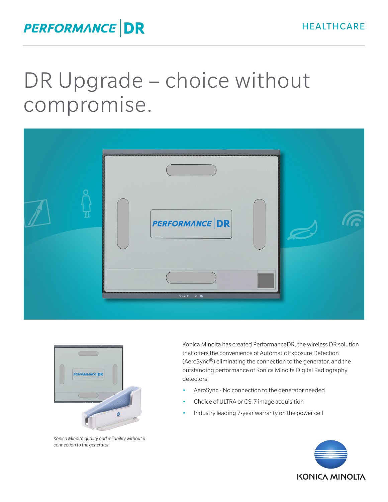## DR Upgrade – choice without compromise. DR Upgrade – choice without compromise.





*Konica Minolta quality and reliability without a*  Konica Minolta quality and reliability without a *connection to the generator.* Konica Minoita quality and re

Konica Minolta has created PerformanceDR, the wireless DR solution Romea minoria has created PerformanceDR, the wireless DR solution that offers the convenience of Automatic Exposure Detection (AeroSync®) eliminating the connection to the generator, and the offers the convenience of Automatic Exposure Detection (AeroSync®) outstanding performance of Konica Minolta Digital Radiography detectors. (AeroSync®) eliminating the connection to the generator, and the  $\frac{1}{2}$ Konica Minolta has created PerformanceDR, the wireless DR solution that offers the convenience of Automatic Exposure Detection

- AeroSync No connection to the generator needed AeroSync No connection to the generator • Acrosyne - No connection to the general Action
- Choice of ULTRA or CS-7 image acquisition • AeroSync - No connection to the generator • Choice of ULTRA or CS-7 image acquisition
- Industry leading 7-year warranty on the power cell